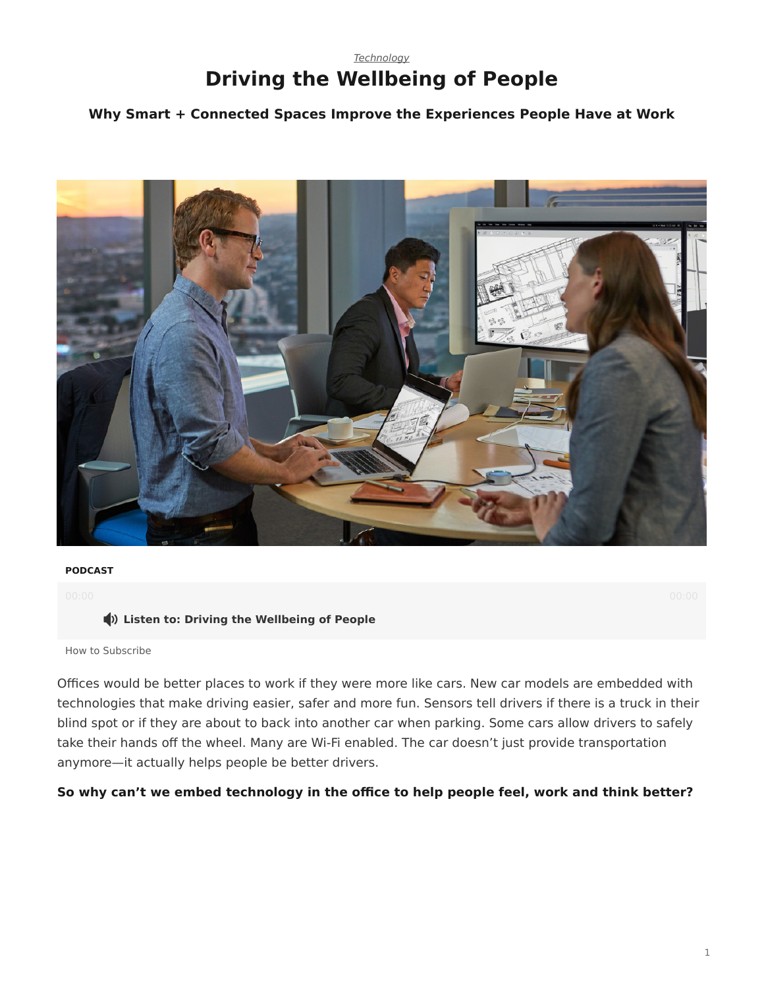## *[Technology](https://www.steelcase.com/research/topics/technology/)* **Driving the Wellbeing of People**

### <span id="page-0-0"></span>**Why Smart + Connected Spaces Improve the Experiences People Have at Work**



#### **PODCAST**

#### **Listen to: Driving the Wellbeing of People**

[How to Subscribe](https://www.steelcase.com/360-real-time-podcasts-subscribe/)

Offices would be better places to work if they were more like cars. New car models are embedded with technologies that make driving easier, safer and more fun. Sensors tell drivers if there is a truck in their blind spot or if they are about to back into another car when parking. Some cars allow drivers to safely take their hands off the wheel. Many are Wi-Fi enabled. The car doesn't just provide transportation anymore—it actually helps people be better drivers.

#### **So why can't we embed technology in the office to help people feel, work and think better?**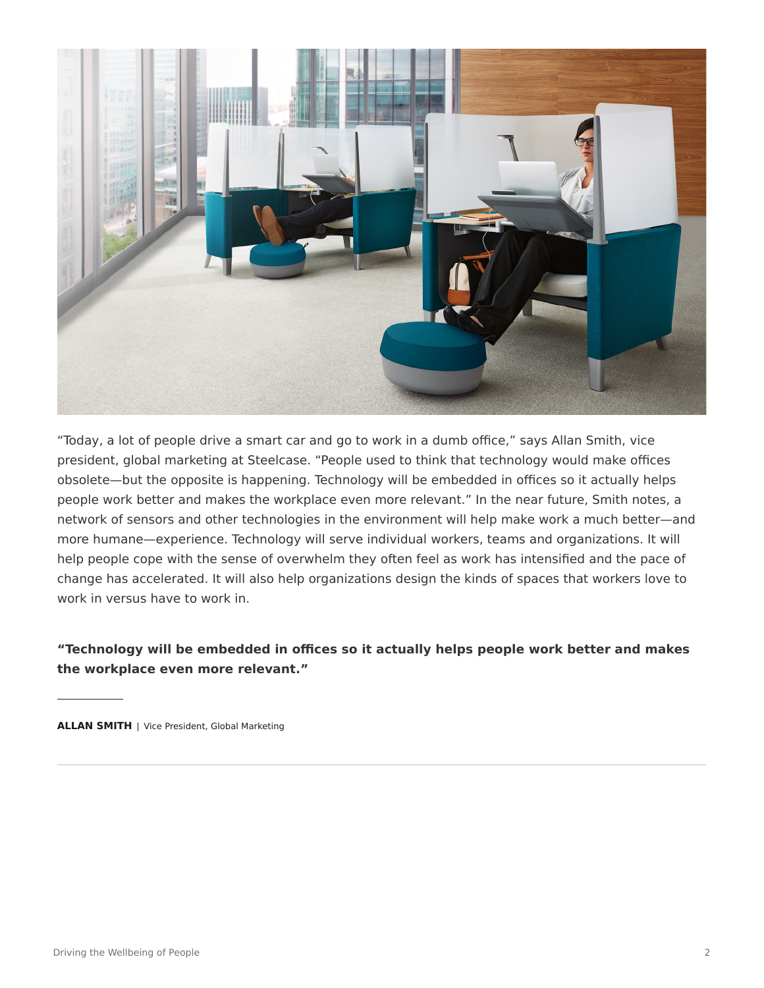

"Today, a lot of people drive a smart car and go to work in a dumb office," says Allan Smith, vice president, global marketing at Steelcase. "People used to think that technology would make offices obsolete—but the opposite is happening. Technology will be embedded in offices so it actually helps people work better and makes the workplace even more relevant." In the near future, Smith notes, a network of sensors and other technologies in the environment will help make work a much better—and more humane—experience. Technology will serve individual workers, teams and organizations. It will help people cope with the sense of overwhelm they often feel as work has intensified and the pace of change has accelerated. It will also help organizations design the kinds of spaces that workers love to work in versus have to work in.

### **"Technology will be embedded in offices so it actually helps people work better and makes the workplace even more relevant."**

**ALLAN SMITH** | Vice President, Global Marketing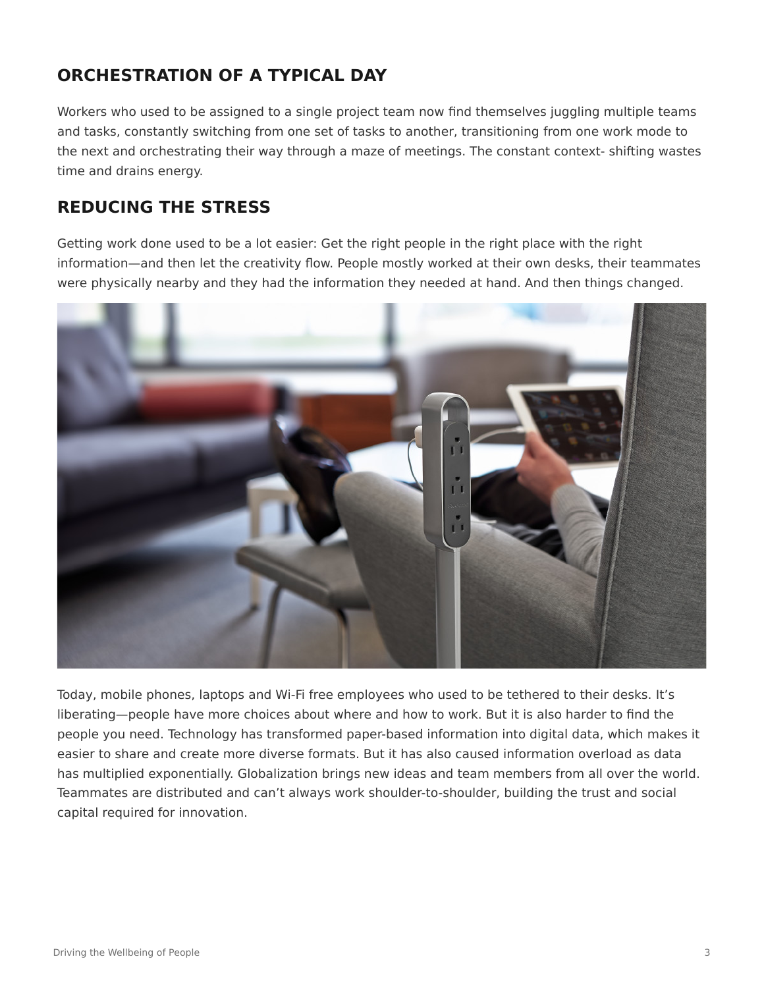# **ORCHESTRATION OF A TYPICAL DAY**

Workers who used to be assigned to a single project team now find themselves juggling multiple teams and tasks, constantly switching from one set of tasks to another, transitioning from one work mode to the next and orchestrating their way through a maze of meetings. The constant context- shifting wastes time and drains energy.

## **REDUCING THE STRESS**

Getting work done used to be a lot easier: Get the right people in the right place with the right information—and then let the creativity flow. People mostly worked at their own desks, their teammates were physically nearby and they had the information they needed at hand. And then things changed.



Today, mobile phones, laptops and Wi-Fi free employees who used to be tethered to their desks. It's liberating—people have more choices about where and how to work. But it is also harder to find the people you need. Technology has transformed paper-based information into digital data, which makes it easier to share and create more diverse formats. But it has also caused information overload as data has multiplied exponentially. Globalization brings new ideas and team members from all over the world. Teammates are distributed and can't always work shoulder-to-shoulder, building the trust and social capital required for innovation.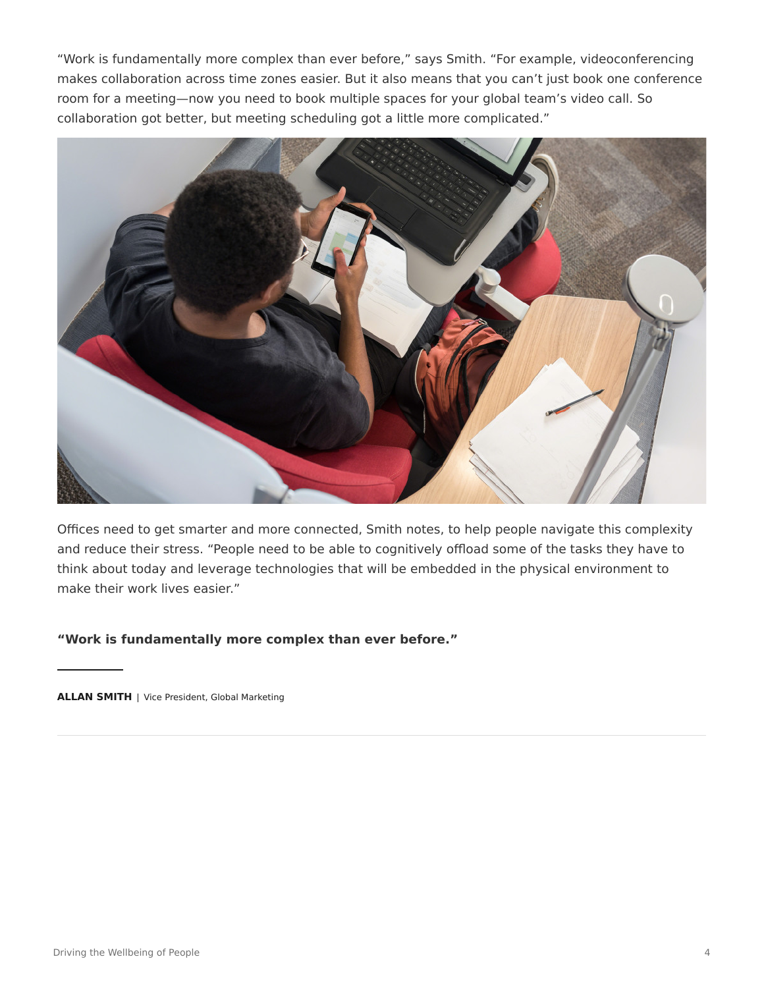"Work is fundamentally more complex than ever before," says Smith. "For example, videoconferencing makes collaboration across time zones easier. But it also means that you can't just book one conference room for a meeting—now you need to book multiple spaces for your global team's video call. So collaboration got better, but meeting scheduling got a little more complicated."



Offices need to get smarter and more connected, Smith notes, to help people navigate this complexity and reduce their stress. "People need to be able to cognitively offload some of the tasks they have to think about today and leverage technologies that will be embedded in the physical environment to make their work lives easier."

**"Work is fundamentally more complex than ever before."**

**ALLAN SMITH** | Vice President, Global Marketing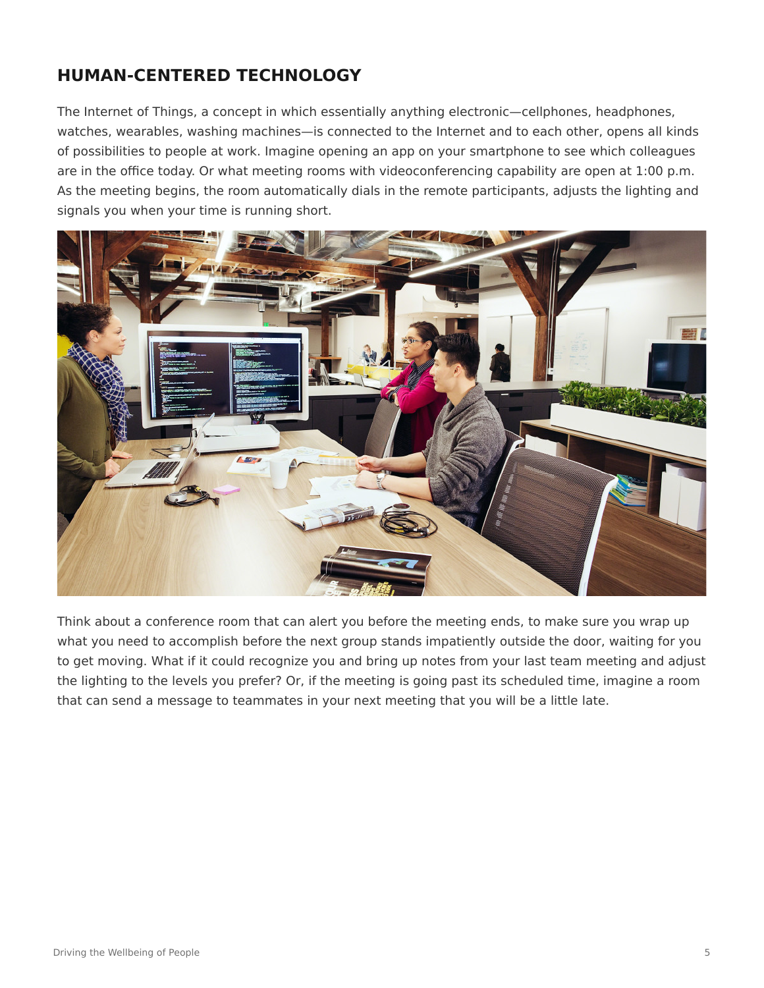## **HUMAN-CENTERED TECHNOLOGY**

The Internet of Things, a concept in which essentially anything electronic—cellphones, headphones, watches, wearables, washing machines—is connected to the Internet and to each other, opens all kinds of possibilities to people at work. Imagine opening an app on your smartphone to see which colleagues are in the office today. Or what meeting rooms with videoconferencing capability are open at 1:00 p.m. As the meeting begins, the room automatically dials in the remote participants, adjusts the lighting and signals you when your time is running short.



Think about a conference room that can alert you before the meeting ends, to make sure you wrap up what you need to accomplish before the next group stands impatiently outside the door, waiting for you to get moving. What if it could recognize you and bring up notes from your last team meeting and adjust the lighting to the levels you prefer? Or, if the meeting is going past its scheduled time, imagine a room that can send a message to teammates in your next meeting that you will be a little late.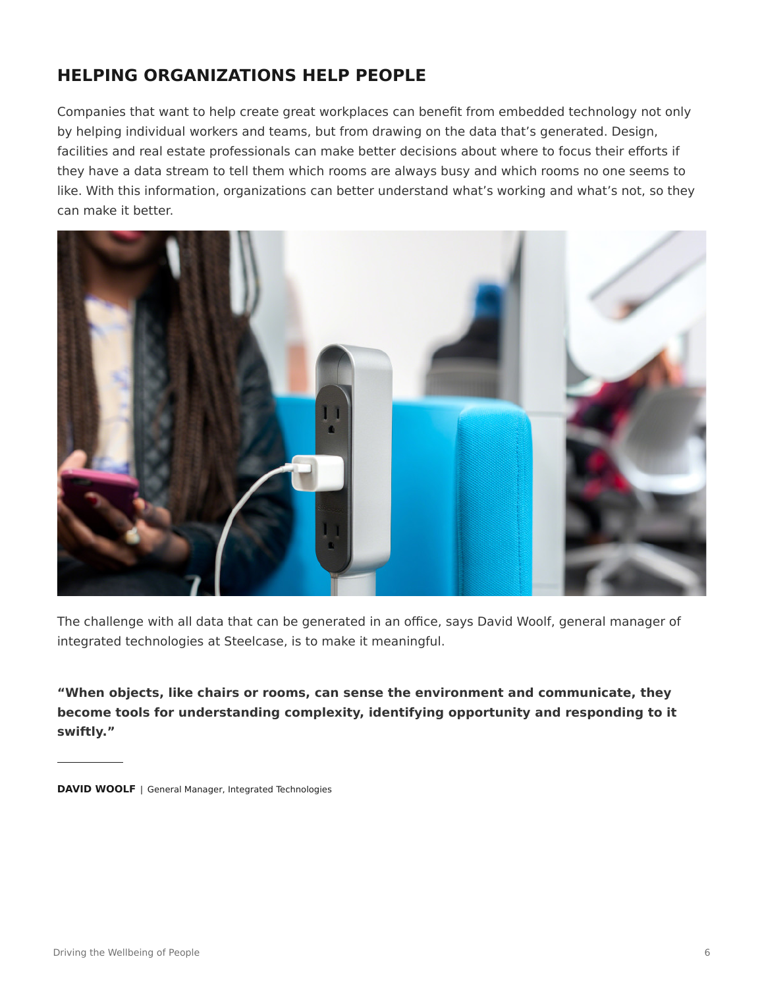# **HELPING ORGANIZATIONS HELP PEOPLE**

Companies that want to help create great workplaces can benefit from embedded technology not only by helping individual workers and teams, but from drawing on the data that's generated. Design, facilities and real estate professionals can make better decisions about where to focus their efforts if they have a data stream to tell them which rooms are always busy and which rooms no one seems to like. With this information, organizations can better understand what's working and what's not, so they can make it better.



The challenge with all data that can be generated in an office, says David Woolf, general manager of integrated technologies at Steelcase, is to make it meaningful.

**"When objects, like chairs or rooms, can sense the environment and communicate, they become tools for understanding complexity, identifying opportunity and responding to it swiftly."**

**DAVID WOOLF** | General Manager, Integrated Technologies